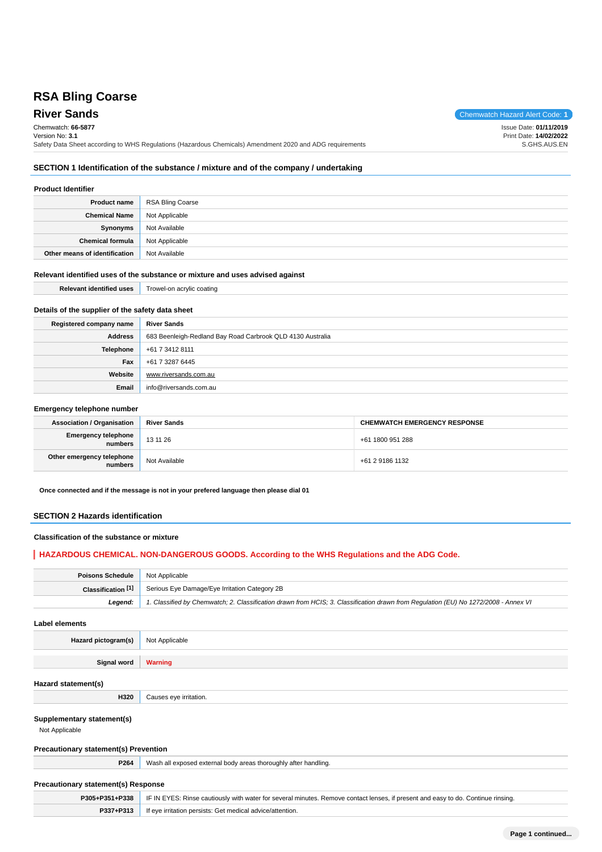# **RSA Bling Coarse**

**River Sands** Chemwatch Hazard Alert Code: **1** Chemwatch: **66-5877** Version No: **3.1** Safety Data Sheet according to WHS Regulations (Hazardous Chemicals) Amendment 2020 and ADG requirements Issue Date: **01/11/2019** Print Date: **14/02/2022** S.GHS.AUS.EN

# **SECTION 1 Identification of the substance / mixture and of the company / undertaking**

### **Product Identifier**

| <b>Product name</b>           | RSA Bling Coarse |
|-------------------------------|------------------|
| <b>Chemical Name</b>          | Not Applicable   |
| <b>Synonyms</b>               | Not Available    |
| <b>Chemical formula</b>       | Not Applicable   |
| Other means of identification | Not Available    |

## **Relevant identified uses of the substance or mixture and uses advised against**

| Relevant identified uses                         | Trowel-on acrylic coating |
|--------------------------------------------------|---------------------------|
|                                                  |                           |
| Details of the supplier of the safety data sheet |                           |

| Registered company name | <b>River Sands</b>                                         |
|-------------------------|------------------------------------------------------------|
| <b>Address</b>          | 683 Beenleigh-Redland Bay Road Carbrook QLD 4130 Australia |
| Telephone               | +61 7 3412 8111                                            |
| Fax                     | +61 7 3287 6445                                            |
| Website                 | www.riversands.com.au                                      |
| Email                   | info@riversands.com.au                                     |

# **Emergency telephone number**

| <b>Association / Organisation</b>              | <b>River Sands</b> | <b>CHEMWATCH EMERGENCY RESPONSE</b> |
|------------------------------------------------|--------------------|-------------------------------------|
| <b>Emergency telephone</b><br><b> </b> numbers | 13 11 26           | +61 1800 951 288                    |
| Other emergency telephone<br>numbers           | Not Available      | +61 2 9186 1132                     |

**Once connected and if the message is not in your prefered language then please dial 01**

# **SECTION 2 Hazards identification**

# **Classification of the substance or mixture**

# **HAZARDOUS CHEMICAL. NON-DANGEROUS GOODS. According to the WHS Regulations and the ADG Code.**

| <b>Poisons Schedule</b> Not Applicable |                                                                                                                                     |
|----------------------------------------|-------------------------------------------------------------------------------------------------------------------------------------|
| Classification $[1]$                   | Serious Eye Damage/Eye Irritation Category 2B                                                                                       |
| Leaend:                                | 1. Classified by Chemwatch; 2. Classification drawn from HCIS; 3. Classification drawn from Requlation (EU) No 1272/2008 - Annex VI |

**Label elements**

**Hazard pictogram(s)** Not Applicable

**Signal word Warning**

### **Hazard statement(s)**

### **Supplementary statement(s)**

Not Applicable

### **Precautionary statement(s) Prevention**

**H320** Causes eye irritation.

**P264** Wash all exposed external body areas thoroughly after handling.

# **Precautionary statement(s) Response**

| P305+P351+P338 | F IN EYES: Rinse cautiously with water for several minutes. Remove contact lenses, if present and easy to do. Continue rinsing. |
|----------------|---------------------------------------------------------------------------------------------------------------------------------|
| P337+P313      | If eye irritation persists: Get medical advice/attention.                                                                       |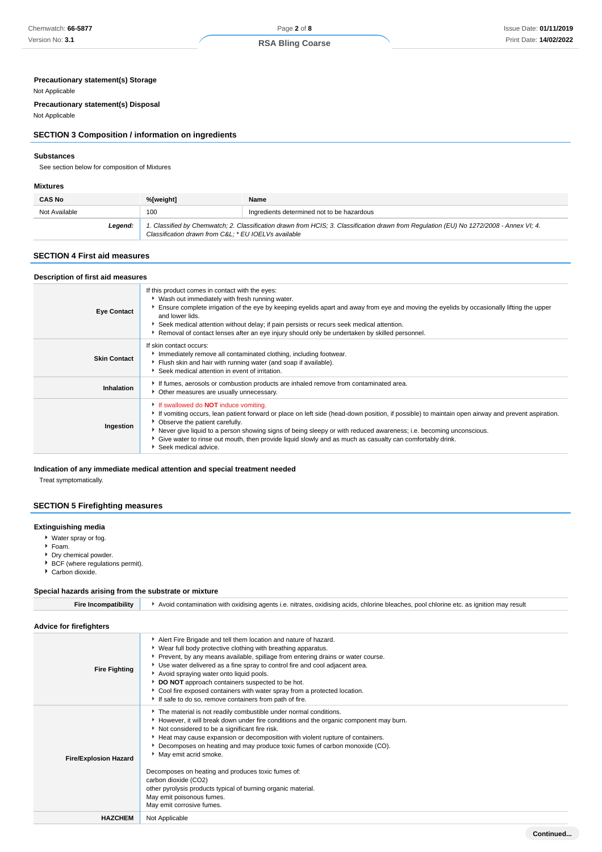# **Precautionary statement(s) Storage**

### Not Applicable

**Precautionary statement(s) Disposal**

Not Applicable

# **SECTION 3 Composition / information on ingredients**

### **Substances**

See section below for composition of Mixtures

### **Mixtures**

| <b>CAS No</b> | %[weight]                                           | Name                                                                                                                                    |
|---------------|-----------------------------------------------------|-----------------------------------------------------------------------------------------------------------------------------------------|
| Not Available | 100                                                 | Ingredients determined not to be hazardous                                                                                              |
| Leaend:       | Classification drawn from C&L * EU IOELVs available | 1. Classified by Chemwatch; 2. Classification drawn from HCIS; 3. Classification drawn from Regulation (EU) No 1272/2008 - Annex VI; 4. |

## **SECTION 4 First aid measures**

| Description of first aid measures |                                                                                                                                                                                                                                                                                                                                                                                                                                                                                                  |
|-----------------------------------|--------------------------------------------------------------------------------------------------------------------------------------------------------------------------------------------------------------------------------------------------------------------------------------------------------------------------------------------------------------------------------------------------------------------------------------------------------------------------------------------------|
| <b>Eye Contact</b>                | If this product comes in contact with the eyes:<br>▶ Wash out immediately with fresh running water.<br>Ensure complete irrigation of the eye by keeping eyelids apart and away from eye and moving the eyelids by occasionally lifting the upper<br>and lower lids.<br>▶ Seek medical attention without delay; if pain persists or recurs seek medical attention.<br>Removal of contact lenses after an eye injury should only be undertaken by skilled personnel.                               |
| <b>Skin Contact</b>               | If skin contact occurs:<br>Immediately remove all contaminated clothing, including footwear.<br>Fiush skin and hair with running water (and soap if available).<br>Seek medical attention in event of irritation.                                                                                                                                                                                                                                                                                |
| Inhalation                        | If fumes, aerosols or combustion products are inhaled remove from contaminated area.<br>• Other measures are usually unnecessary.                                                                                                                                                                                                                                                                                                                                                                |
| Ingestion                         | If swallowed do <b>NOT</b> induce vomiting.<br>If vomiting occurs, lean patient forward or place on left side (head-down position, if possible) to maintain open airway and prevent aspiration.<br>• Observe the patient carefully.<br>▶ Never give liquid to a person showing signs of being sleepy or with reduced awareness; i.e. becoming unconscious.<br>• Give water to rinse out mouth, then provide liquid slowly and as much as casualty can comfortably drink.<br>Seek medical advice. |

# **Indication of any immediate medical attention and special treatment needed**

Treat symptomatically.

# **SECTION 5 Firefighting measures**

### **Extinguishing media**

- Water spray or fog.
- Foam.
- Dry chemical powder.
- BCF (where regulations permit).
- Carbon dioxide.

# **Special hazards arising from the substrate or mixture**

| <b>Fire Incompatibility</b>    | Avoid contamination with oxidising agents i.e. nitrates, oxidising acids, chlorine bleaches, pool chlorine etc. as ignition may result                                                                                                                                                                                                                                                                                                                                                                                                                                                                      |  |  |
|--------------------------------|-------------------------------------------------------------------------------------------------------------------------------------------------------------------------------------------------------------------------------------------------------------------------------------------------------------------------------------------------------------------------------------------------------------------------------------------------------------------------------------------------------------------------------------------------------------------------------------------------------------|--|--|
| <b>Advice for firefighters</b> |                                                                                                                                                                                                                                                                                                                                                                                                                                                                                                                                                                                                             |  |  |
| <b>Fire Fighting</b>           | Alert Fire Brigade and tell them location and nature of hazard.<br>▶ Wear full body protective clothing with breathing apparatus.<br>Prevent, by any means available, spillage from entering drains or water course.<br>Use water delivered as a fine spray to control fire and cool adjacent area.<br>Avoid spraying water onto liquid pools.<br>DO NOT approach containers suspected to be hot.<br>Cool fire exposed containers with water spray from a protected location.<br>If safe to do so, remove containers from path of fire.                                                                     |  |  |
| <b>Fire/Explosion Hazard</b>   | The material is not readily combustible under normal conditions.<br>However, it will break down under fire conditions and the organic component may burn.<br>Not considered to be a significant fire risk.<br>Heat may cause expansion or decomposition with violent rupture of containers.<br>Decomposes on heating and may produce toxic fumes of carbon monoxide (CO).<br>May emit acrid smoke.<br>Decomposes on heating and produces toxic fumes of:<br>carbon dioxide (CO2)<br>other pyrolysis products typical of burning organic material.<br>May emit poisonous fumes.<br>May emit corrosive fumes. |  |  |
| <b>HAZCHEM</b>                 | Not Applicable                                                                                                                                                                                                                                                                                                                                                                                                                                                                                                                                                                                              |  |  |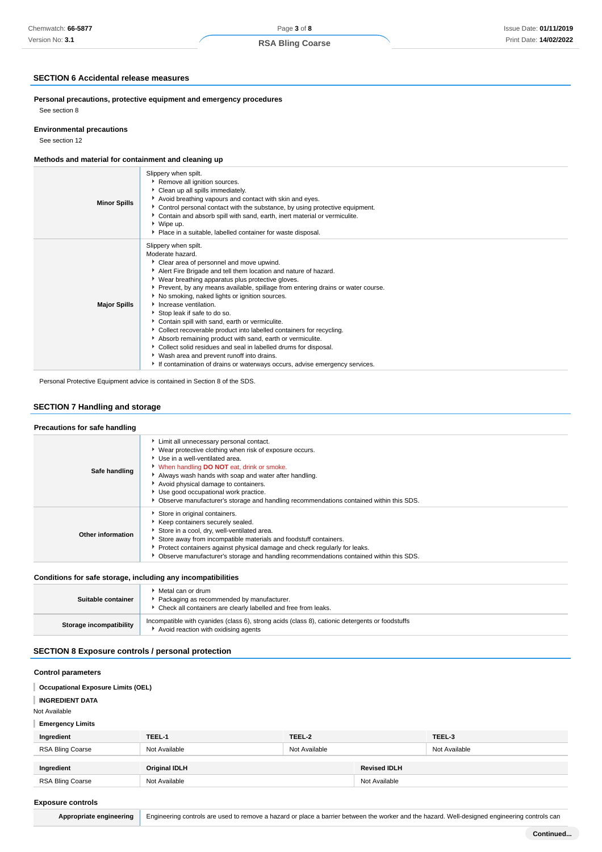# **SECTION 6 Accidental release measures**

**Personal precautions, protective equipment and emergency procedures** See section 8

### **Environmental precautions**

See section 12

# **Methods and material for containment and cleaning up**

| <b>Minor Spills</b> | Slippery when spilt.<br>Remove all ignition sources.<br>Clean up all spills immediately.<br>Avoid breathing vapours and contact with skin and eyes.<br>Control personal contact with the substance, by using protective equipment.<br>• Contain and absorb spill with sand, earth, inert material or vermiculite.<br>▶ Wipe up.<br>• Place in a suitable, labelled container for waste disposal.                                                                                                                                                                                                                                                                                                                                                                                                    |
|---------------------|-----------------------------------------------------------------------------------------------------------------------------------------------------------------------------------------------------------------------------------------------------------------------------------------------------------------------------------------------------------------------------------------------------------------------------------------------------------------------------------------------------------------------------------------------------------------------------------------------------------------------------------------------------------------------------------------------------------------------------------------------------------------------------------------------------|
| <b>Major Spills</b> | Slippery when spilt.<br>Moderate hazard.<br>Clear area of personnel and move upwind.<br>Alert Fire Brigade and tell them location and nature of hazard.<br>• Wear breathing apparatus plus protective gloves.<br>▶ Prevent, by any means available, spillage from entering drains or water course.<br>▶ No smoking, naked lights or ignition sources.<br>Increase ventilation.<br>Stop leak if safe to do so.<br>Contain spill with sand, earth or vermiculite.<br>Collect recoverable product into labelled containers for recycling.<br>Absorb remaining product with sand, earth or vermiculite.<br>Collect solid residues and seal in labelled drums for disposal.<br>▶ Wash area and prevent runoff into drains.<br>If contamination of drains or waterways occurs, advise emergency services. |

Personal Protective Equipment advice is contained in Section 8 of the SDS.

# **SECTION 7 Handling and storage**

# **Precautions for safe handling**

| Safe handling     | Limit all unnecessary personal contact.<br>▶ Wear protective clothing when risk of exposure occurs.<br>Use in a well-ventilated area.<br>V When handling DO NOT eat, drink or smoke.<br>Always wash hands with soap and water after handling.<br>Avoid physical damage to containers.<br>Use good occupational work practice.<br>▶ Observe manufacturer's storage and handling recommendations contained within this SDS. |
|-------------------|---------------------------------------------------------------------------------------------------------------------------------------------------------------------------------------------------------------------------------------------------------------------------------------------------------------------------------------------------------------------------------------------------------------------------|
| Other information | Store in original containers.<br>▶ Keep containers securely sealed.<br>Store in a cool, dry, well-ventilated area.<br>Store away from incompatible materials and foodstuff containers.<br>▶ Protect containers against physical damage and check regularly for leaks.<br>• Observe manufacturer's storage and handling recommendations contained within this SDS.                                                         |

# **Conditions for safe storage, including any incompatibilities**

| Suitable container      | Metal can or drum<br>Packaging as recommended by manufacturer.<br>• Check all containers are clearly labelled and free from leaks.      |
|-------------------------|-----------------------------------------------------------------------------------------------------------------------------------------|
| Storage incompatibility | Incompatible with cyanides (class 6), strong acids (class 8), cationic detergents or foodstuffs<br>Avoid reaction with oxidising agents |

# **SECTION 8 Exposure controls / personal protection**

### **Control parameters**

#### **Occupational Exposure Limits (OEL)** ı

**INGREDIENT DATA**

Not Available

# **Emergency Limits**

| Ingredient       | TEEL-1               | TEEL-2        |                     | TEEL-3        |
|------------------|----------------------|---------------|---------------------|---------------|
| RSA Bling Coarse | Not Available        | Not Available |                     | Not Available |
|                  |                      |               |                     |               |
| Ingredient       | <b>Original IDLH</b> |               | <b>Revised IDLH</b> |               |
| RSA Bling Coarse | Not Available        |               | Not Available       |               |

### **Exposure controls**

Appropriate engineering Engineering controls are used to remove a hazard or place a barrier between the worker and the hazard. Well-designed engineering controls can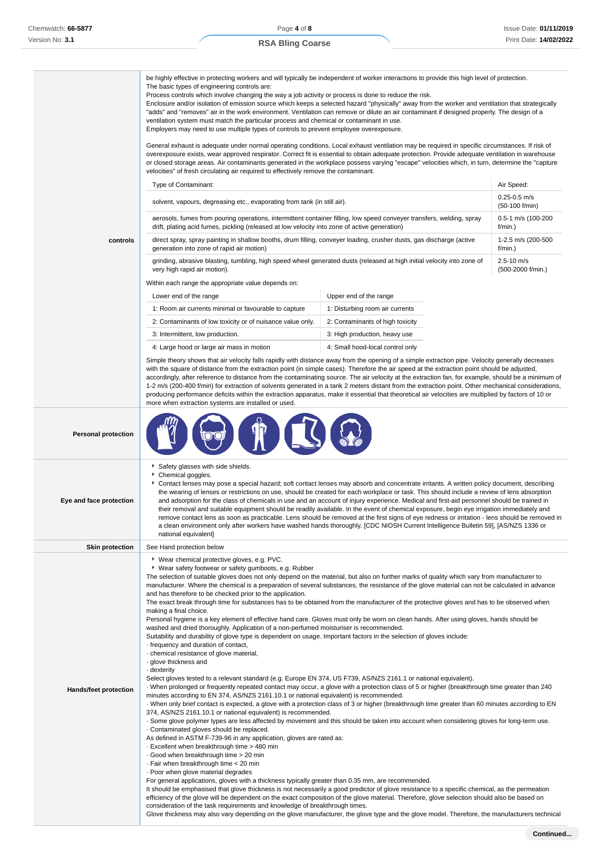# **RSA Bling Coarse**

|                              | be highly effective in protecting workers and will typically be independent of worker interactions to provide this high level of protection.<br>The basic types of engineering controls are:<br>Process controls which involve changing the way a job activity or process is done to reduce the risk.<br>Enclosure and/or isolation of emission source which keeps a selected hazard "physically" away from the worker and ventilation that strategically<br>"adds" and "removes" air in the work environment. Ventilation can remove or dilute an air contaminant if designed properly. The design of a<br>ventilation system must match the particular process and chemical or contaminant in use.<br>Employers may need to use multiple types of controls to prevent employee overexposure.<br>General exhaust is adequate under normal operating conditions. Local exhaust ventilation may be required in specific circumstances. If risk of<br>overexposure exists, wear approved respirator. Correct fit is essential to obtain adequate protection. Provide adequate ventilation in warehouse<br>or closed storage areas. Air contaminants generated in the workplace possess varying "escape" velocities which, in turn, determine the "capture                                                                                                                                                                                                                                                                                                                                                                                                                                                                                                                                                                                                                                                                                                                                                                                                                                                                                                                                                                                                                                                                                                              |                                    |                                     |  |
|------------------------------|----------------------------------------------------------------------------------------------------------------------------------------------------------------------------------------------------------------------------------------------------------------------------------------------------------------------------------------------------------------------------------------------------------------------------------------------------------------------------------------------------------------------------------------------------------------------------------------------------------------------------------------------------------------------------------------------------------------------------------------------------------------------------------------------------------------------------------------------------------------------------------------------------------------------------------------------------------------------------------------------------------------------------------------------------------------------------------------------------------------------------------------------------------------------------------------------------------------------------------------------------------------------------------------------------------------------------------------------------------------------------------------------------------------------------------------------------------------------------------------------------------------------------------------------------------------------------------------------------------------------------------------------------------------------------------------------------------------------------------------------------------------------------------------------------------------------------------------------------------------------------------------------------------------------------------------------------------------------------------------------------------------------------------------------------------------------------------------------------------------------------------------------------------------------------------------------------------------------------------------------------------------------------------------------------------------------------------------------------------------------|------------------------------------|-------------------------------------|--|
|                              | velocities" of fresh circulating air required to effectively remove the contaminant.                                                                                                                                                                                                                                                                                                                                                                                                                                                                                                                                                                                                                                                                                                                                                                                                                                                                                                                                                                                                                                                                                                                                                                                                                                                                                                                                                                                                                                                                                                                                                                                                                                                                                                                                                                                                                                                                                                                                                                                                                                                                                                                                                                                                                                                                                 |                                    |                                     |  |
|                              | Type of Contaminant:                                                                                                                                                                                                                                                                                                                                                                                                                                                                                                                                                                                                                                                                                                                                                                                                                                                                                                                                                                                                                                                                                                                                                                                                                                                                                                                                                                                                                                                                                                                                                                                                                                                                                                                                                                                                                                                                                                                                                                                                                                                                                                                                                                                                                                                                                                                                                 |                                    | Air Speed:                          |  |
|                              | solvent, vapours, degreasing etc., evaporating from tank (in still air).                                                                                                                                                                                                                                                                                                                                                                                                                                                                                                                                                                                                                                                                                                                                                                                                                                                                                                                                                                                                                                                                                                                                                                                                                                                                                                                                                                                                                                                                                                                                                                                                                                                                                                                                                                                                                                                                                                                                                                                                                                                                                                                                                                                                                                                                                             | $0.25 - 0.5$ m/s<br>(50-100 f/min) |                                     |  |
|                              | aerosols, fumes from pouring operations, intermittent container filling, low speed conveyer transfers, welding, spray<br>drift, plating acid fumes, pickling (released at low velocity into zone of active generation)                                                                                                                                                                                                                                                                                                                                                                                                                                                                                                                                                                                                                                                                                                                                                                                                                                                                                                                                                                                                                                                                                                                                                                                                                                                                                                                                                                                                                                                                                                                                                                                                                                                                                                                                                                                                                                                                                                                                                                                                                                                                                                                                               |                                    | 0.5-1 m/s (100-200<br>$f/min.$ )    |  |
| controls                     | direct spray, spray painting in shallow booths, drum filling, conveyer loading, crusher dusts, gas discharge (active<br>generation into zone of rapid air motion)                                                                                                                                                                                                                                                                                                                                                                                                                                                                                                                                                                                                                                                                                                                                                                                                                                                                                                                                                                                                                                                                                                                                                                                                                                                                                                                                                                                                                                                                                                                                                                                                                                                                                                                                                                                                                                                                                                                                                                                                                                                                                                                                                                                                    |                                    | 1-2.5 m/s (200-500<br>$f/min.$ )    |  |
|                              | grinding, abrasive blasting, tumbling, high speed wheel generated dusts (released at high initial velocity into zone of<br>very high rapid air motion).                                                                                                                                                                                                                                                                                                                                                                                                                                                                                                                                                                                                                                                                                                                                                                                                                                                                                                                                                                                                                                                                                                                                                                                                                                                                                                                                                                                                                                                                                                                                                                                                                                                                                                                                                                                                                                                                                                                                                                                                                                                                                                                                                                                                              |                                    | $2.5 - 10$ m/s<br>(500-2000 f/min.) |  |
|                              | Within each range the appropriate value depends on:                                                                                                                                                                                                                                                                                                                                                                                                                                                                                                                                                                                                                                                                                                                                                                                                                                                                                                                                                                                                                                                                                                                                                                                                                                                                                                                                                                                                                                                                                                                                                                                                                                                                                                                                                                                                                                                                                                                                                                                                                                                                                                                                                                                                                                                                                                                  |                                    |                                     |  |
|                              | Lower end of the range                                                                                                                                                                                                                                                                                                                                                                                                                                                                                                                                                                                                                                                                                                                                                                                                                                                                                                                                                                                                                                                                                                                                                                                                                                                                                                                                                                                                                                                                                                                                                                                                                                                                                                                                                                                                                                                                                                                                                                                                                                                                                                                                                                                                                                                                                                                                               | Upper end of the range             |                                     |  |
|                              | 1: Room air currents minimal or favourable to capture                                                                                                                                                                                                                                                                                                                                                                                                                                                                                                                                                                                                                                                                                                                                                                                                                                                                                                                                                                                                                                                                                                                                                                                                                                                                                                                                                                                                                                                                                                                                                                                                                                                                                                                                                                                                                                                                                                                                                                                                                                                                                                                                                                                                                                                                                                                | 1: Disturbing room air currents    |                                     |  |
|                              | 2: Contaminants of low toxicity or of nuisance value only.                                                                                                                                                                                                                                                                                                                                                                                                                                                                                                                                                                                                                                                                                                                                                                                                                                                                                                                                                                                                                                                                                                                                                                                                                                                                                                                                                                                                                                                                                                                                                                                                                                                                                                                                                                                                                                                                                                                                                                                                                                                                                                                                                                                                                                                                                                           | 2: Contaminants of high toxicity   |                                     |  |
|                              | 3: Intermittent, low production.                                                                                                                                                                                                                                                                                                                                                                                                                                                                                                                                                                                                                                                                                                                                                                                                                                                                                                                                                                                                                                                                                                                                                                                                                                                                                                                                                                                                                                                                                                                                                                                                                                                                                                                                                                                                                                                                                                                                                                                                                                                                                                                                                                                                                                                                                                                                     | 3: High production, heavy use      |                                     |  |
|                              | 4: Large hood or large air mass in motion                                                                                                                                                                                                                                                                                                                                                                                                                                                                                                                                                                                                                                                                                                                                                                                                                                                                                                                                                                                                                                                                                                                                                                                                                                                                                                                                                                                                                                                                                                                                                                                                                                                                                                                                                                                                                                                                                                                                                                                                                                                                                                                                                                                                                                                                                                                            | 4: Small hood-local control only   |                                     |  |
|                              | Simple theory shows that air velocity falls rapidly with distance away from the opening of a simple extraction pipe. Velocity generally decreases<br>with the square of distance from the extraction point (in simple cases). Therefore the air speed at the extraction point should be adjusted,<br>accordingly, after reference to distance from the contaminating source. The air velocity at the extraction fan, for example, should be a minimum of<br>1-2 m/s (200-400 f/min) for extraction of solvents generated in a tank 2 meters distant from the extraction point. Other mechanical considerations,<br>producing performance deficits within the extraction apparatus, make it essential that theoretical air velocities are multiplied by factors of 10 or<br>more when extraction systems are installed or used.                                                                                                                                                                                                                                                                                                                                                                                                                                                                                                                                                                                                                                                                                                                                                                                                                                                                                                                                                                                                                                                                                                                                                                                                                                                                                                                                                                                                                                                                                                                                       |                                    |                                     |  |
| <b>Personal protection</b>   |                                                                                                                                                                                                                                                                                                                                                                                                                                                                                                                                                                                                                                                                                                                                                                                                                                                                                                                                                                                                                                                                                                                                                                                                                                                                                                                                                                                                                                                                                                                                                                                                                                                                                                                                                                                                                                                                                                                                                                                                                                                                                                                                                                                                                                                                                                                                                                      |                                    |                                     |  |
| Eye and face protection      | Safety glasses with side shields.<br>Chemical goggles.<br>Contact lenses may pose a special hazard; soft contact lenses may absorb and concentrate irritants. A written policy document, describing<br>the wearing of lenses or restrictions on use, should be created for each workplace or task. This should include a review of lens absorption<br>and adsorption for the class of chemicals in use and an account of injury experience. Medical and first-aid personnel should be trained in<br>their removal and suitable equipment should be readily available. In the event of chemical exposure, begin eye irrigation immediately and<br>remove contact lens as soon as practicable. Lens should be removed at the first signs of eye redness or irritation - lens should be removed in<br>a clean environment only after workers have washed hands thoroughly. [CDC NIOSH Current Intelligence Bulletin 59], [AS/NZS 1336 or<br>national equivalent]                                                                                                                                                                                                                                                                                                                                                                                                                                                                                                                                                                                                                                                                                                                                                                                                                                                                                                                                                                                                                                                                                                                                                                                                                                                                                                                                                                                                        |                                    |                                     |  |
| <b>Skin protection</b>       | See Hand protection below                                                                                                                                                                                                                                                                                                                                                                                                                                                                                                                                                                                                                                                                                                                                                                                                                                                                                                                                                                                                                                                                                                                                                                                                                                                                                                                                                                                                                                                                                                                                                                                                                                                                                                                                                                                                                                                                                                                                                                                                                                                                                                                                                                                                                                                                                                                                            |                                    |                                     |  |
|                              | * Wear chemical protective gloves, e.g. PVC.                                                                                                                                                                                                                                                                                                                                                                                                                                                                                                                                                                                                                                                                                                                                                                                                                                                                                                                                                                                                                                                                                                                                                                                                                                                                                                                                                                                                                                                                                                                                                                                                                                                                                                                                                                                                                                                                                                                                                                                                                                                                                                                                                                                                                                                                                                                         |                                    |                                     |  |
| <b>Hands/feet protection</b> | ▶ Wear safety footwear or safety gumboots, e.g. Rubber<br>The selection of suitable gloves does not only depend on the material, but also on further marks of quality which vary from manufacturer to<br>manufacturer. Where the chemical is a preparation of several substances, the resistance of the glove material can not be calculated in advance<br>and has therefore to be checked prior to the application.<br>The exact break through time for substances has to be obtained from the manufacturer of the protective gloves and has to be observed when<br>making a final choice.<br>Personal hygiene is a key element of effective hand care. Gloves must only be worn on clean hands. After using gloves, hands should be<br>washed and dried thoroughly. Application of a non-perfumed moisturiser is recommended.<br>Suitability and durability of glove type is dependent on usage. Important factors in the selection of gloves include:<br>frequency and duration of contact,<br>· chemical resistance of glove material,<br>· glove thickness and<br>dexterity .<br>Select gloves tested to a relevant standard (e.g. Europe EN 374, US F739, AS/NZS 2161.1 or national equivalent).<br>When prolonged or frequently repeated contact may occur, a glove with a protection class of 5 or higher (breakthrough time greater than 240<br>minutes according to EN 374, AS/NZS 2161.10.1 or national equivalent) is recommended.<br>· When only brief contact is expected, a glove with a protection class of 3 or higher (breakthrough time greater than 60 minutes according to EN<br>374, AS/NZS 2161.10.1 or national equivalent) is recommended.<br>. Some glove polymer types are less affected by movement and this should be taken into account when considering gloves for long-term use.<br>Contaminated gloves should be replaced.<br>As defined in ASTM F-739-96 in any application, gloves are rated as:<br>. Excellent when breakthrough time > 480 min<br>Good when breakthrough time > 20 min<br>. Fair when breakthrough time < 20 min<br>· Poor when glove material degrades<br>For general applications, gloves with a thickness typically greater than 0.35 mm, are recommended.<br>It should be emphasised that glove thickness is not necessarily a good predictor of glove resistance to a specific chemical, as the permeation |                                    |                                     |  |

consideration of the task requirements and knowledge of breakthrough times.

Glove thickness may also vary depending on the glove manufacturer, the glove type and the glove model. Therefore, the manufacturers technical

**Continued...**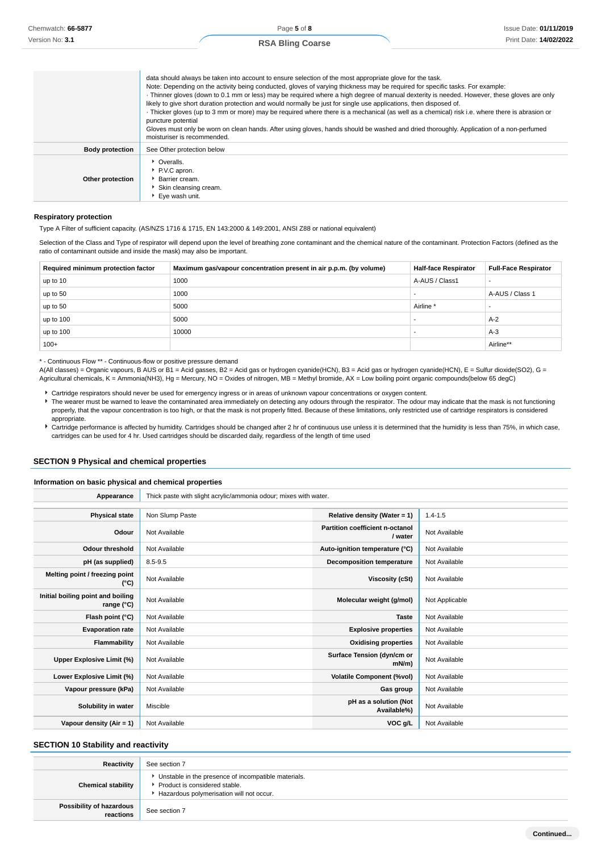| data should always be taken into account to ensure selection of the most appropriate glove for the task.                                    |
|---------------------------------------------------------------------------------------------------------------------------------------------|
| Note: Depending on the activity being conducted, gloves of varying thickness may be required for specific tasks. For example:               |
| · Thinner gloves (down to 0.1 mm or less) may be required where a high degree of manual dexterity is needed. However, these gloves are only |
| likely to give short duration protection and would normally be just for single use applications, then disposed of                           |
|                                                                                                                                             |

· Thicker gloves (up to 3 mm or more) may be required where there is a mechanical (as well as a chemical) risk i.e. where there is abrasion or puncture potential

Gloves must only be worn on clean hands. After using gloves, hands should be washed and dried thoroughly. Application of a non-perfumed moisturiser is recommended.

|                        | moistanser is recommentated.                                                                                   |
|------------------------|----------------------------------------------------------------------------------------------------------------|
| <b>Body protection</b> | See Other protection below                                                                                     |
| Other protection       | • Overalls.<br>P.V.C apron.<br>Barrier cream.<br>Skin cleansing cream.<br>$\blacktriangleright$ Eye wash unit. |

#### **Respiratory protection**

Type A Filter of sufficient capacity. (AS/NZS 1716 & 1715, EN 143:2000 & 149:2001, ANSI Z88 or national equivalent)

Selection of the Class and Type of respirator will depend upon the level of breathing zone contaminant and the chemical nature of the contaminant. Protection Factors (defined as the ratio of contaminant outside and inside the mask) may also be important.

| Required minimum protection factor | Maximum gas/vapour concentration present in air p.p.m. (by volume) | <b>Half-face Respirator</b> | <b>Full-Face Respirator</b> |
|------------------------------------|--------------------------------------------------------------------|-----------------------------|-----------------------------|
| up to 10                           | 1000                                                               | A-AUS / Class1              |                             |
| up to 50                           | 1000                                                               |                             | A-AUS / Class 1             |
| up to 50                           | 5000                                                               | Airline <sup>*</sup>        |                             |
| up to 100                          | 5000                                                               |                             | $A-2$                       |
| up to 100                          | 10000                                                              |                             | $A-3$                       |
| $100+$                             |                                                                    |                             | Airline**                   |

\* - Continuous Flow \*\* - Continuous-flow or positive pressure demand

A(All classes) = Organic vapours, B AUS or B1 = Acid gasses, B2 = Acid gas or hydrogen cyanide(HCN), B3 = Acid gas or hydrogen cyanide(HCN), E = Sulfur dioxide(SO2), G = Agricultural chemicals, K = Ammonia(NH3), Hg = Mercury, NO = Oxides of nitrogen, MB = Methyl bromide, AX = Low boiling point organic compounds(below 65 degC)

- Cartridge respirators should never be used for emergency ingress or in areas of unknown vapour concentrations or oxygen content.
- The wearer must be warned to leave the contaminated area immediately on detecting any odours through the respirator. The odour may indicate that the mask is not functioning properly, that the vapour concentration is too high, or that the mask is not properly fitted. Because of these limitations, only restricted use of cartridge respirators is considered appropriate.
- Cartridge performance is affected by humidity. Cartridges should be changed after 2 hr of continuous use unless it is determined that the humidity is less than 75%, in which case, cartridges can be used for 4 hr. Used cartridges should be discarded daily, regardless of the length of time used

### **SECTION 9 Physical and chemical properties**

### **Information on basic physical and chemical properties**

| Appearance                                      | Thick paste with slight acrylic/ammonia odour; mixes with water. |                                            |                |
|-------------------------------------------------|------------------------------------------------------------------|--------------------------------------------|----------------|
|                                                 |                                                                  |                                            |                |
| <b>Physical state</b>                           | Non Slump Paste                                                  | Relative density (Water = $1$ )            | $1.4 - 1.5$    |
| Odour                                           | Not Available                                                    | Partition coefficient n-octanol<br>/ water | Not Available  |
| <b>Odour threshold</b>                          | Not Available                                                    | Auto-ignition temperature (°C)             | Not Available  |
| pH (as supplied)                                | $8.5 - 9.5$                                                      | <b>Decomposition temperature</b>           | Not Available  |
| Melting point / freezing point<br>$(^{\circ}C)$ | Not Available                                                    | Viscosity (cSt)                            | Not Available  |
| Initial boiling point and boiling<br>range (°C) | Not Available                                                    | Molecular weight (g/mol)                   | Not Applicable |
| Flash point (°C)                                | Not Available                                                    | <b>Taste</b>                               | Not Available  |
| <b>Evaporation rate</b>                         | Not Available                                                    | <b>Explosive properties</b>                | Not Available  |
| Flammability                                    | Not Available                                                    | <b>Oxidising properties</b>                | Not Available  |
| Upper Explosive Limit (%)                       | Not Available                                                    | Surface Tension (dyn/cm or<br>mN/m         | Not Available  |
| Lower Explosive Limit (%)                       | Not Available                                                    | <b>Volatile Component (%vol)</b>           | Not Available  |
| Vapour pressure (kPa)                           | Not Available                                                    | Gas group                                  | Not Available  |
| Solubility in water                             | Miscible                                                         | pH as a solution (Not<br>Available%)       | Not Available  |
| Vapour density $(Air = 1)$                      | Not Available                                                    | VOC g/L                                    | Not Available  |

# **SECTION 10 Stability and reactivity**

| Reactivity                            | See section 7                                                                                                                        |
|---------------------------------------|--------------------------------------------------------------------------------------------------------------------------------------|
| <b>Chemical stability</b>             | • Unstable in the presence of incompatible materials.<br>▶ Product is considered stable.<br>Hazardous polymerisation will not occur. |
| Possibility of hazardous<br>reactions | See section 7                                                                                                                        |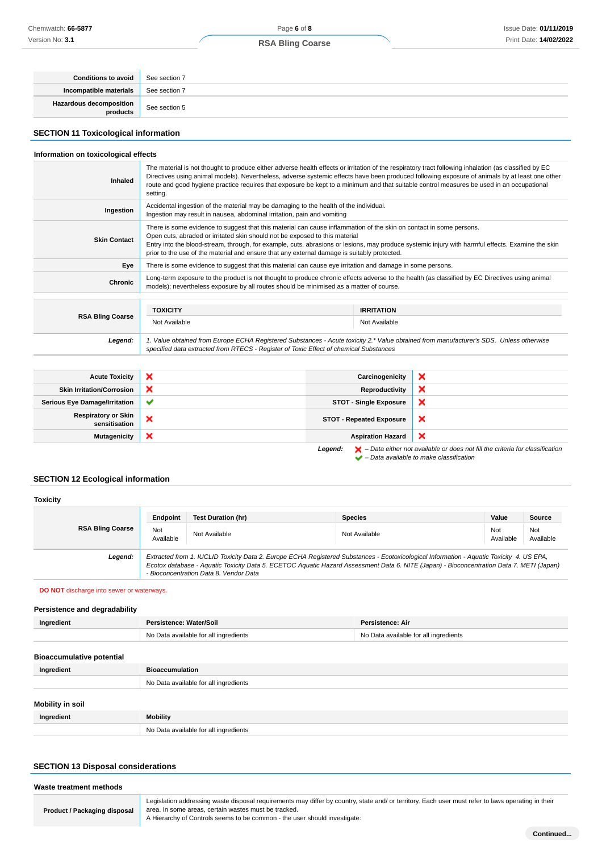| <b>Conditions to avoid</b>            | See section 7 |
|---------------------------------------|---------------|
| Incompatible materials                | See section 7 |
| Hazardous decomposition<br>  products | See section 5 |

# **SECTION 11 Toxicological information**

# **Information on toxicological effects**

| <b>Inhaled</b>          | The material is not thought to produce either adverse health effects or irritation of the respiratory tract following inhalation (as classified by EC<br>Directives using animal models). Nevertheless, adverse systemic effects have been produced following exposure of animals by at least one other<br>route and good hygiene practice requires that exposure be kept to a minimum and that suitable control measures be used in an occupational<br>setting. |                   |  |
|-------------------------|------------------------------------------------------------------------------------------------------------------------------------------------------------------------------------------------------------------------------------------------------------------------------------------------------------------------------------------------------------------------------------------------------------------------------------------------------------------|-------------------|--|
| Ingestion               | Accidental ingestion of the material may be damaging to the health of the individual.<br>Ingestion may result in nausea, abdominal irritation, pain and vomiting                                                                                                                                                                                                                                                                                                 |                   |  |
| <b>Skin Contact</b>     | There is some evidence to suggest that this material can cause inflammation of the skin on contact in some persons.<br>Open cuts, abraded or irritated skin should not be exposed to this material<br>Entry into the blood-stream, through, for example, cuts, abrasions or lesions, may produce systemic injury with harmful effects. Examine the skin<br>prior to the use of the material and ensure that any external damage is suitably protected.           |                   |  |
| Eye                     | There is some evidence to suggest that this material can cause eye irritation and damage in some persons.                                                                                                                                                                                                                                                                                                                                                        |                   |  |
| <b>Chronic</b>          | Long-term exposure to the product is not thought to produce chronic effects adverse to the health (as classified by EC Directives using animal<br>models); nevertheless exposure by all routes should be minimised as a matter of course.                                                                                                                                                                                                                        |                   |  |
|                         |                                                                                                                                                                                                                                                                                                                                                                                                                                                                  |                   |  |
|                         | <b>TOXICITY</b>                                                                                                                                                                                                                                                                                                                                                                                                                                                  | <b>IRRITATION</b> |  |
| <b>RSA Bling Coarse</b> | Not Available                                                                                                                                                                                                                                                                                                                                                                                                                                                    | Not Available     |  |
| Legend:                 | 1. Value obtained from Europe ECHA Registered Substances - Acute toxicity 2.* Value obtained from manufacturer's SDS. Unless otherwise                                                                                                                                                                                                                                                                                                                           |                   |  |

| <b>Acute Toxicity</b>                | $\boldsymbol{\mathsf{x}}$ | Carcinogenicity                 | ж |
|--------------------------------------|---------------------------|---------------------------------|---|
| <b>Skin Irritation/Corrosion</b>     | ×                         | Reproductivity                  | × |
| <b>Serious Eye Damage/Irritation</b> | $\checkmark$              | <b>STOT - Single Exposure</b>   | × |
| Respiratory or Skin<br>sensitisation | ×                         | <b>STOT - Repeated Exposure</b> | × |
| <b>Mutagenicity</b>                  | ×                         | <b>Aspiration Hazard</b>        | × |
|                                      |                           |                                 |   |

specified data extracted from RTECS - Register of Toxic Effect of chemical Substances

**Legend:**  $\mathbf{X}$  – Data either not available or does not fill the criteria for classification – Data available to make classification

# **SECTION 12 Ecological information**

| <b>Toxicity</b>         |                                                                                                                                                                                                                                                                                                                                |                           |                |                  |                  |
|-------------------------|--------------------------------------------------------------------------------------------------------------------------------------------------------------------------------------------------------------------------------------------------------------------------------------------------------------------------------|---------------------------|----------------|------------------|------------------|
|                         | Endpoint                                                                                                                                                                                                                                                                                                                       | <b>Test Duration (hr)</b> | <b>Species</b> | Value            | Source           |
| <b>RSA Bling Coarse</b> | Not<br>Available                                                                                                                                                                                                                                                                                                               | Not Available             | Not Available  | Not<br>Available | Not<br>Available |
| Legend:                 | Extracted from 1. IUCLID Toxicity Data 2. Europe ECHA Registered Substances - Ecotoxicological Information - Aquatic Toxicity 4. US EPA.<br>Ecotox database - Aquatic Toxicity Data 5. ECETOC Aquatic Hazard Assessment Data 6. NITE (Japan) - Bioconcentration Data 7. METI (Japan)<br>- Bioconcentration Data 8. Vendor Data |                           |                |                  |                  |

**DO NOT** discharge into sewer or waterways.

### **Persistence and degradability**

| Ingredient                       | Persistence: Water/Soil               | Persistence: Air                      |
|----------------------------------|---------------------------------------|---------------------------------------|
|                                  | No Data available for all ingredients | No Data available for all ingredients |
|                                  |                                       |                                       |
| <b>Bioaccumulative potential</b> |                                       |                                       |
| Ingradiant                       | <b>Riogccumulation</b>                |                                       |

| iliyi culcili           | pivauunulauuli                        |  |
|-------------------------|---------------------------------------|--|
|                         | No Data available for all ingredients |  |
| <b>Mobility in soil</b> |                                       |  |
| Ingredient              | <b>Mobility</b>                       |  |
|                         | No Data available for all ingredients |  |

# **SECTION 13 Disposal considerations**

| Waste treatment methods             |                                                                                                                                                                                                                                                                                         |  |
|-------------------------------------|-----------------------------------------------------------------------------------------------------------------------------------------------------------------------------------------------------------------------------------------------------------------------------------------|--|
| <b>Product / Packaging disposal</b> | Legislation addressing waste disposal requirements may differ by country, state and/ or territory. Each user must refer to laws operating in their<br>area. In some areas, certain wastes must be tracked.<br>A Hierarchy of Controls seems to be common - the user should investigate: |  |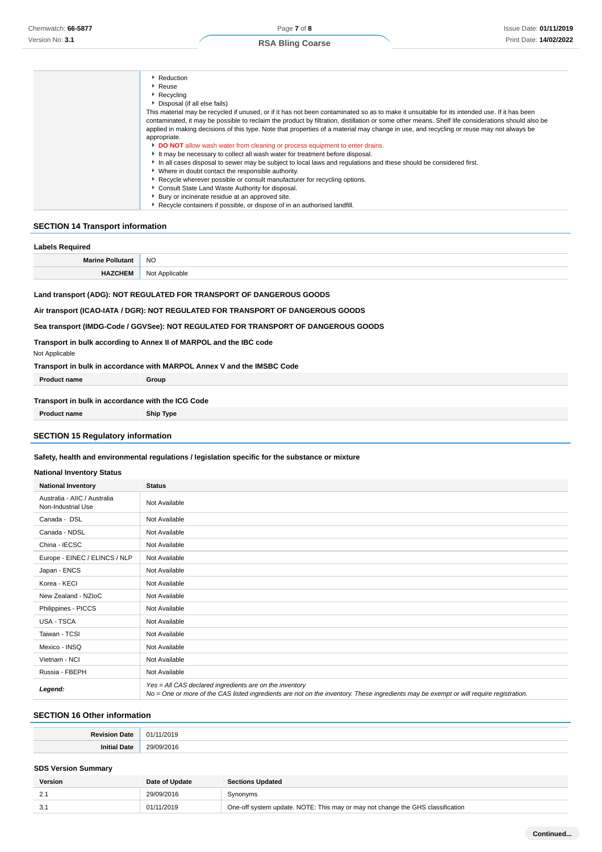| Reduction                                                                                                                                         |
|---------------------------------------------------------------------------------------------------------------------------------------------------|
| <sup>•</sup> Reuse                                                                                                                                |
| Recycling                                                                                                                                         |
| Disposal (if all else fails)                                                                                                                      |
| This material may be recycled if unused, or if it has not been contaminated so as to make it unsuitable for its intended use. If it has been      |
| contaminated, it may be possible to reclaim the product by filtration, distillation or some other means. Shelf life considerations should also be |
| applied in making decisions of this type. Note that properties of a material may change in use, and recycling or reuse may not always be          |
| appropriate.                                                                                                                                      |
| DO NOT allow wash water from cleaning or process equipment to enter drains.                                                                       |
| It may be necessary to collect all wash water for treatment before disposal.                                                                      |
| In all cases disposal to sewer may be subject to local laws and regulations and these should be considered first.                                 |
| • Where in doubt contact the responsible authority.                                                                                               |
| Recycle wherever possible or consult manufacturer for recycling options.                                                                          |
| Consult State Land Waste Authority for disposal.                                                                                                  |
| Bury or incinerate residue at an approved site.                                                                                                   |
| Recycle containers if possible, or dispose of in an authorised landfill.                                                                          |
|                                                                                                                                                   |

# **SECTION 14 Transport information**

| <b>Labels Required</b>                                                             |                |  |
|------------------------------------------------------------------------------------|----------------|--|
| <b>Marine Pollutant</b>                                                            | NO.            |  |
| <b>HAZCHEM</b>                                                                     | Not Applicable |  |
| Land transport (ADG): NOT REGULATED FOR TRANSPORT OF DANGEROUS GOODS               |                |  |
| Air transport (ICAO-IATA / DGR): NOT REGULATED FOR TRANSPORT OF DANGEROUS GOODS    |                |  |
| Sea transport (IMDG-Code / GGVSee): NOT REGULATED FOR TRANSPORT OF DANGEROUS GOODS |                |  |
| Transport in bully assemble to Anney II of MADDOL, and the IDC sade.               |                |  |

**Transport in bulk according to Annex II of MARPOL and the IBC code**

Not Applicable

**Transport in bulk in accordance with MARPOL Annex V and the IMSBC Code**

| <b>Product name</b>                               | Group |
|---------------------------------------------------|-------|
|                                                   |       |
| Transport in bulk in accordance with the ICG Code |       |

**Product name Ship Type**

# **SECTION 15 Regulatory information**

### **Safety, health and environmental regulations / legislation specific for the substance or mixture**

## **National Inventory Status**

| ranonar mychiory olatas                            |                                                                                                                                                                                                   |  |
|----------------------------------------------------|---------------------------------------------------------------------------------------------------------------------------------------------------------------------------------------------------|--|
| <b>National Inventory</b>                          | <b>Status</b>                                                                                                                                                                                     |  |
| Australia - AIIC / Australia<br>Non-Industrial Use | Not Available                                                                                                                                                                                     |  |
| Canada - DSL                                       | Not Available                                                                                                                                                                                     |  |
| Canada - NDSL                                      | Not Available                                                                                                                                                                                     |  |
| China - IECSC                                      | Not Available                                                                                                                                                                                     |  |
| Europe - EINEC / ELINCS / NLP                      | Not Available                                                                                                                                                                                     |  |
| Japan - ENCS                                       | Not Available                                                                                                                                                                                     |  |
| Korea - KECI                                       | Not Available                                                                                                                                                                                     |  |
| New Zealand - NZIoC                                | Not Available                                                                                                                                                                                     |  |
| Philippines - PICCS                                | Not Available                                                                                                                                                                                     |  |
| USA - TSCA                                         | Not Available                                                                                                                                                                                     |  |
| Taiwan - TCSI                                      | Not Available                                                                                                                                                                                     |  |
| Mexico - INSQ                                      | Not Available                                                                                                                                                                                     |  |
| Vietnam - NCI                                      | Not Available                                                                                                                                                                                     |  |
| Russia - FBEPH                                     | Not Available                                                                                                                                                                                     |  |
| Legend:                                            | Yes = All CAS declared ingredients are on the inventory<br>No = One or more of the CAS listed ingredients are not on the inventory. These ingredients may be exempt or will require registration. |  |

# **SECTION 16 Other information**

| <b>Revision</b><br>Date<br>$\cdots$ | 1/2019<br>01/            |
|-------------------------------------|--------------------------|
| Initia<br>Date                      | 20 <sub>u</sub><br>/2016 |

# **SDS Version Summary**

| Version | Date of Update | <b>Sections Updated</b>                                                        |
|---------|----------------|--------------------------------------------------------------------------------|
| 2.1     | 29/09/2016     | Synonyms                                                                       |
| -3.1    | 01/11/2019     | One-off system update. NOTE: This may or may not change the GHS classification |